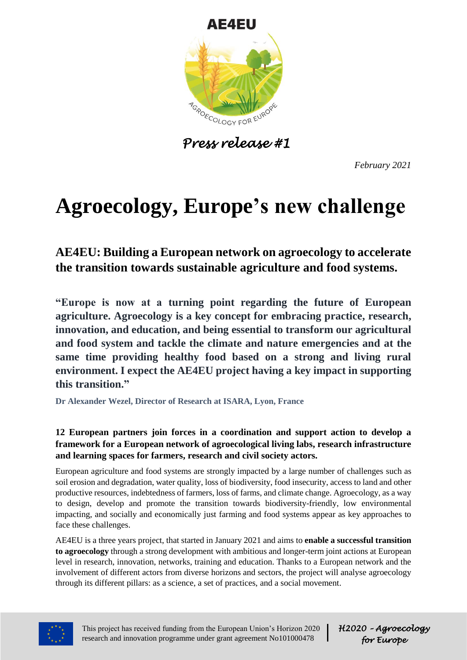

*Press release #1*

*February 2021*

# **Agroecology, Europe's new challenge**

# **AE4EU: Building a European network on agroecology to accelerate the transition towards sustainable agriculture and food systems.**

**"Europe is now at a turning point regarding the future of European agriculture. Agroecology is a key concept for embracing practice, research, innovation, and education, and being essential to transform our agricultural and food system and tackle the climate and nature emergencies and at the same time providing healthy food based on a strong and living rural environment. I expect the AE4EU project having a key impact in supporting this transition."**

**Dr Alexander Wezel, Director of Research at ISARA, Lyon, France**

# **12 European partners join forces in a coordination and support action to develop a framework for a European network of agroecological living labs, research infrastructure and learning spaces for farmers, research and civil society actors.**

European agriculture and food systems are strongly impacted by a large number of challenges such as soil erosion and degradation, water quality, loss of biodiversity, food insecurity, access to land and other productive resources, indebtedness of farmers, loss of farms, and climate change. Agroecology, as a way to design, develop and promote the transition towards biodiversity-friendly, low environmental impacting, and socially and economically just farming and food systems appear as key approaches to face these challenges.

AE4EU is a three years project, that started in January 2021 and aims to **enable a successful transition to agroecology** through a strong development with ambitious and longer-term joint actions at European level in research, innovation, networks, training and education. Thanks to a European network and the involvement of different actors from diverse horizons and sectors, the project will analyse agroecology through its different pillars: as a science, a set of practices, and a social movement.



This project has received funding from the European Union's Horizon 2020 research and innovation programme under grant agreement No101000478

*H2020 – Agroecology for Europe*